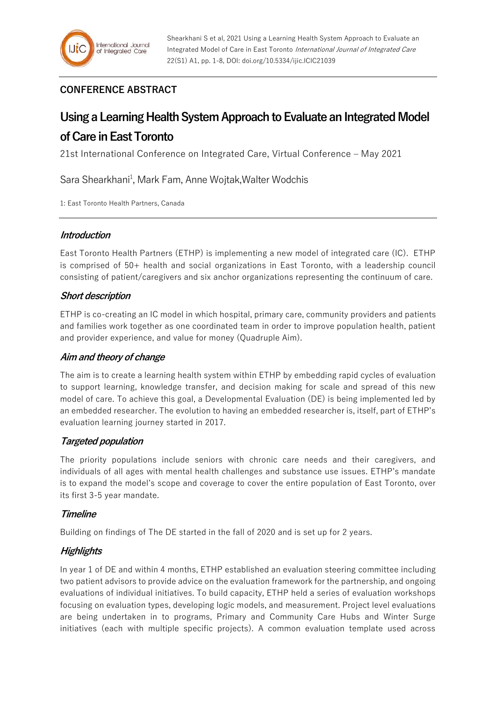# **CONFERENCE ABSTRACT**

# **Using a Learning Health System Approach to Evaluate an Integrated Model of Care in East Toronto**

21st International Conference on Integrated Care, Virtual Conference – May 2021

Sara Shearkhani<sup>1</sup>, Mark Fam, Anne Wojtak, Walter Wodchis

1: East Toronto Health Partners, Canada

### **Introduction**

East Toronto Health Partners (ETHP) is implementing a new model of integrated care (IC). ETHP is comprised of 50+ health and social organizations in East Toronto, with a leadership council consisting of patient/caregivers and six anchor organizations representing the continuum of care.

#### **Short description**

ETHP is co-creating an IC model in which hospital, primary care, community providers and patients and families work together as one coordinated team in order to improve population health, patient and provider experience, and value for money (Quadruple Aim).

### **Aim and theory of change**

The aim is to create a learning health system within ETHP by embedding rapid cycles of evaluation to support learning, knowledge transfer, and decision making for scale and spread of this new model of care. To achieve this goal, a Developmental Evaluation (DE) is being implemented led by an embedded researcher. The evolution to having an embedded researcher is, itself, part of ETHP's evaluation learning journey started in 2017.

### **Targeted population**

The priority populations include seniors with chronic care needs and their caregivers, and individuals of all ages with mental health challenges and substance use issues. ETHP's mandate is to expand the model's scope and coverage to cover the entire population of East Toronto, over its first 3-5 year mandate.

### **Timeline**

Building on findings of The DE started in the fall of 2020 and is set up for 2 years.

## **Highlights**

In year 1 of DE and within 4 months, ETHP established an evaluation steering committee including two patient advisors to provide advice on the evaluation framework for the partnership, and ongoing evaluations of individual initiatives. To build capacity, ETHP held a series of evaluation workshops focusing on evaluation types, developing logic models, and measurement. Project level evaluations are being undertaken in to programs, Primary and Community Care Hubs and Winter Surge initiatives (each with multiple specific projects). A common evaluation template used across